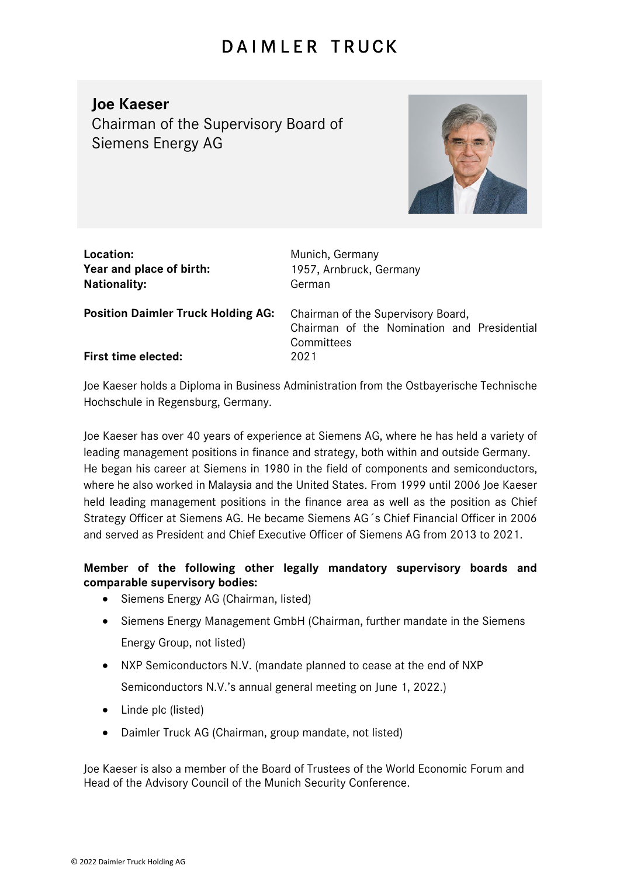## **DAIMLER TRUCK**

## **Joe Kaeser**

Chairman of the Supervisory Board of Siemens Energy AG



| Location:<br>Year and place of birth:<br><b>Nationality:</b> | Munich, Germany<br>1957, Arnbruck, Germany<br>German                                            |
|--------------------------------------------------------------|-------------------------------------------------------------------------------------------------|
| <b>Position Daimler Truck Holding AG:</b>                    | Chairman of the Supervisory Board,<br>Chairman of the Nomination and Presidential<br>Committees |
| <b>First time elected:</b>                                   | 2021                                                                                            |

Joe Kaeser holds a Diploma in Business Administration from the Ostbayerische Technische Hochschule in Regensburg, Germany.

Joe Kaeser has over 40 years of experience at Siemens AG, where he has held a variety of leading management positions in finance and strategy, both within and outside Germany. He began his career at Siemens in 1980 in the field of components and semiconductors, where he also worked in Malaysia and the United States. From 1999 until 2006 Joe Kaeser held leading management positions in the finance area as well as the position as Chief Strategy Officer at Siemens AG. He became Siemens AG´s Chief Financial Officer in 2006 and served as President and Chief Executive Officer of Siemens AG from 2013 to 2021.

## **Member of the following other legally mandatory supervisory boards and comparable supervisory bodies:**

- Siemens Energy AG (Chairman, listed)
- Siemens Energy Management GmbH (Chairman, further mandate in the Siemens Energy Group, not listed)
- NXP Semiconductors N.V. (mandate planned to cease at the end of NXP Semiconductors N.V.'s annual general meeting on June 1, 2022.)
- Linde plc (listed)
- Daimler Truck AG (Chairman, group mandate, not listed)

Joe Kaeser is also a member of the Board of Trustees of the World Economic Forum and Head of the Advisory Council of the Munich Security Conference.